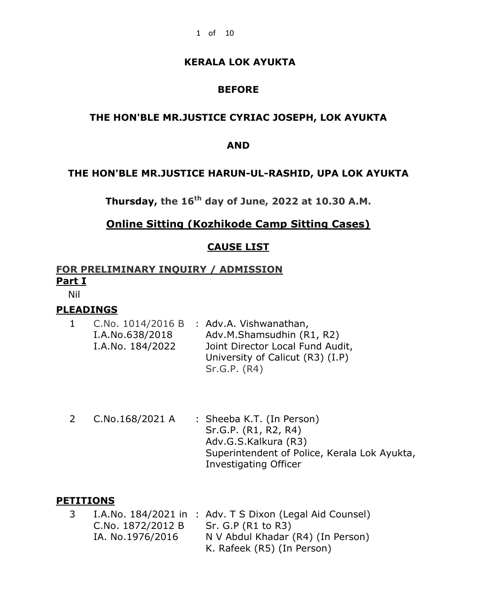## **BEFORE**

### **THE HON'BLE MR.JUSTICE CYRIAC JOSEPH, LOK AYUKTA**

#### **AND**

### **THE HON'BLE MR.JUSTICE HARUN-UL-RASHID, UPA LOK AYUKTA**

**Thursday, the 16th day of June, 2022 at 10.30 A.M.**

## **Online Sitting (Kozhikode Camp Sitting Cases)**

### **CAUSE LIST**

## **FOR PRELIMINARY INQUIRY / ADMISSION Part I**

Nil

### **PLEADINGS**

- 1 C.No. 1014/2016 B : Adv.A. Vishwanathan, I.A.No.638/2018 I.A.No. 184/2022 Adv.M.Shamsudhin (R1, R2) Joint Director Local Fund Audit, University of Calicut (R3) (I.P) Sr.G.P. (R4)
- 2 C.No.168/2021 A : Sheeba K.T. (In Person) Sr.G.P. (R1, R2, R4) Adv.G.S.Kalkura (R3) Superintendent of Police, Kerala Lok Ayukta, Investigating Officer

#### **PETITIONS**

3 I.A.No. 184/2021 in : Adv. T S Dixon (Legal Aid Counsel) C.No. 1872/2012 B IA. No.1976/2016 Sr. G.P (R1 to R3) N V Abdul Khadar (R4) (In Person) K. Rafeek (R5) (In Person)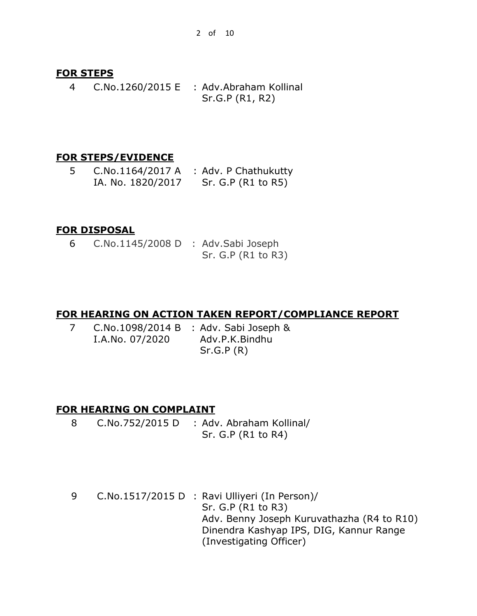### **FOR STEPS**

4 C.No.1260/2015 E : Adv.Abraham Kollinal Sr.G.P (R1, R2)

## **FOR STEPS/EVIDENCE**

5 C.No.1164/2017 A : Adv. P Chathukutty IA. No. 1820/2017 Sr. G.P (R1 to R5)

## **FOR DISPOSAL**

6 C.No.1145/2008 D : Adv.Sabi Joseph Sr. G.P (R1 to R3)

## **FOR HEARING ON ACTION TAKEN REPORT/COMPLIANCE REPORT**

7 C.No.1098/2014 B : Adv. Sabi Joseph & I.A.No. 07/2020 Adv.P.K.Bindhu Sr.G.P (R)

## **FOR HEARING ON COMPLAINT**

- 8 C.No.752/2015 D : Adv. Abraham Kollinal/ Sr. G.P (R1 to R4)
- 9 C.No.1517/2015 D : Ravi Ulliyeri (In Person)/ Sr. G.P (R1 to R3) Adv. Benny Joseph Kuruvathazha (R4 to R10) Dinendra Kashyap IPS, DIG, Kannur Range (Investigating Officer)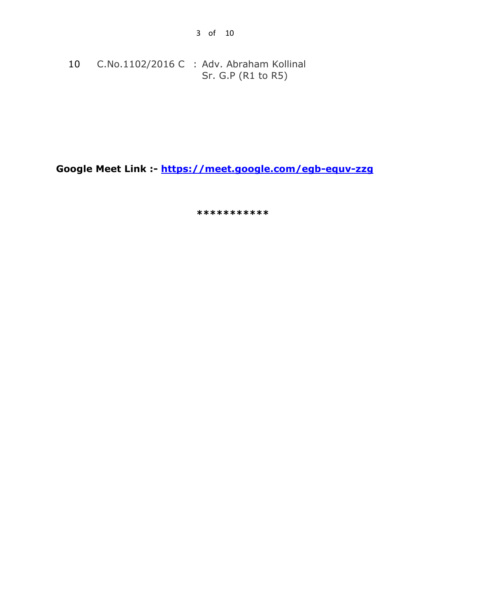10 C.No.1102/2016 C : Adv. Abraham Kollinal Sr. G.P (R1 to R5)

**Google Meet Link :- <https://meet.google.com/egb-equv-zzg>**

 **\*\*\*\*\*\*\*\*\*\*\***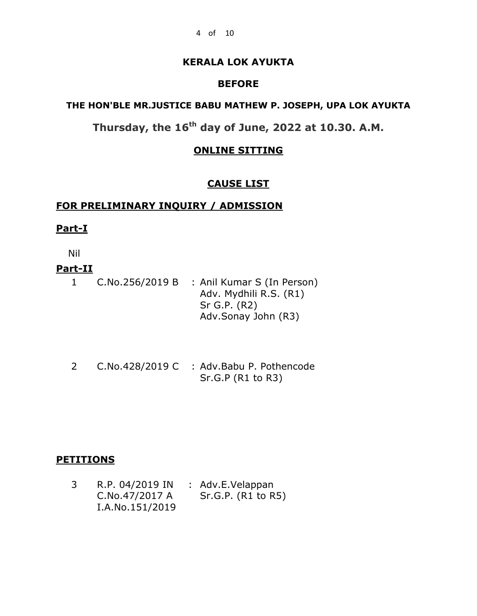### **BEFORE**

### **THE HON'BLE MR.JUSTICE BABU MATHEW P. JOSEPH, UPA LOK AYUKTA**

**Thursday, the 16th day of June, 2022 at 10.30. A.M.**

### **ONLINE SITTING**

### **CAUSE LIST**

## **FOR PRELIMINARY INQUIRY / ADMISSION**

#### **Part-I**

Nil

## **Part-II**

1 C.No.256/2019 B : Anil Kumar S (In Person) Adv. Mydhili R.S. (R1) Sr G.P. (R2) Adv.Sonay John (R3)

2 C.No.428/2019 C : Adv.Babu P. Pothencode Sr.G.P (R1 to R3)

### **PETITIONS**

| R.P. 04/2019 IN | : Adv.E.Velappan   |
|-----------------|--------------------|
| C.No.47/2017 A  | Sr.G.P. (R1 to R5) |
| I.A.No.151/2019 |                    |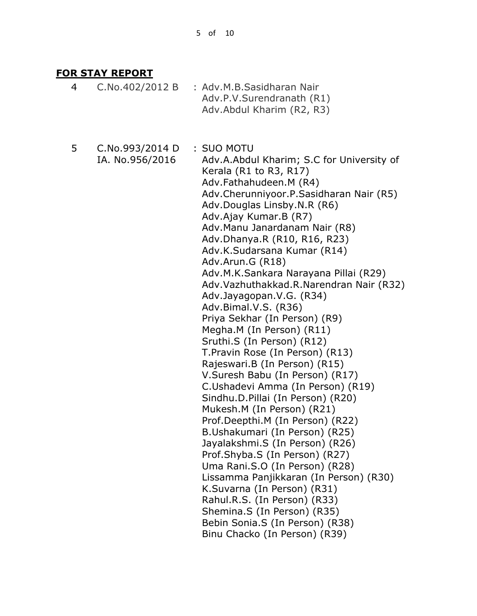## **FOR STAY REPORT**

- 4 C.No.402/2012 B : Adv.M.B.Sasidharan Nair Adv.P.V.Surendranath (R1) Adv.Abdul Kharim (R2, R3)
- 5 C.No.993/2014 D IA. No.956/2016

: SUO MOTU Adv.A.Abdul Kharim; S.C for University of Kerala (R1 to R3, R17) Adv.Fathahudeen.M (R4) Adv.Cherunniyoor.P.Sasidharan Nair (R5) Adv.Douglas Linsby.N.R (R6) Adv.Ajay Kumar.B (R7) Adv.Manu Janardanam Nair (R8) Adv.Dhanya.R (R10, R16, R23) Adv.K.Sudarsana Kumar (R14) Adv.Arun.G (R18) Adv.M.K.Sankara Narayana Pillai (R29) Adv.Vazhuthakkad.R.Narendran Nair (R32) Adv.Jayagopan.V.G. (R34) Adv.Bimal.V.S. (R36) Priya Sekhar (In Person) (R9) Megha.M (In Person) (R11) Sruthi.S (In Person) (R12) T.Pravin Rose (In Person) (R13) Rajeswari.B (In Person) (R15) V.Suresh Babu (In Person) (R17) C.Ushadevi Amma (In Person) (R19) Sindhu.D.Pillai (In Person) (R20) Mukesh.M (In Person) (R21) Prof.Deepthi.M (In Person) (R22) B.Ushakumari (In Person) (R25) Jayalakshmi.S (In Person) (R26) Prof.Shyba.S (In Person) (R27) Uma Rani.S.O (In Person) (R28) Lissamma Panjikkaran (In Person) (R30) K.Suvarna (In Person) (R31) Rahul.R.S. (In Person) (R33) Shemina.S (In Person) (R35) Bebin Sonia.S (In Person) (R38) Binu Chacko (In Person) (R39)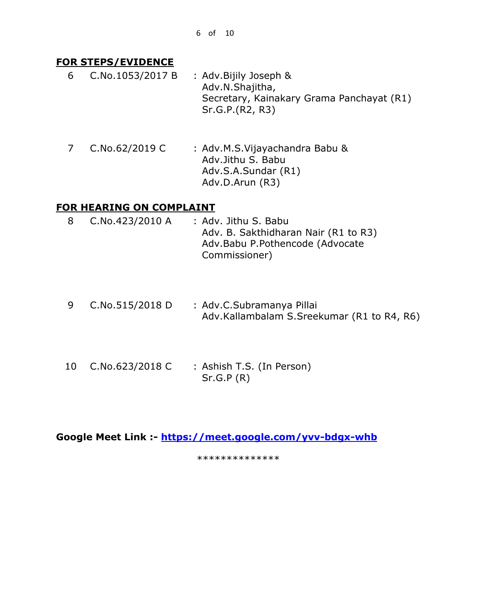### **FOR STEPS/EVIDENCE**

- 6 C.No.1053/2017 B : Adv.Bijily Joseph & Adv.N.Shajitha, Secretary, Kainakary Grama Panchayat (R1) Sr.G.P.(R2, R3)
- 7 C.No.62/2019 C : Adv.M.S.Vijayachandra Babu & Adv.Jithu S. Babu Adv.S.A.Sundar (R1) Adv.D.Arun (R3)

## **FOR HEARING ON COMPLAINT**

- 8 C.No.423/2010 A : Adv. Jithu S. Babu Adv. B. Sakthidharan Nair (R1 to R3) Adv.Babu P.Pothencode (Advocate Commissioner)
- 9 C.No.515/2018 D : Adv.C.Subramanya Pillai Adv.Kallambalam S.Sreekumar (R1 to R4, R6)
- 10 C.No.623/2018 C : Ashish T.S. (In Person) Sr.G.P (R)

**Google Meet Link :- <https://meet.google.com/yvv-bdgx-whb>** 

\*\*\*\*\*\*\*\*\*\*\*\*\*\*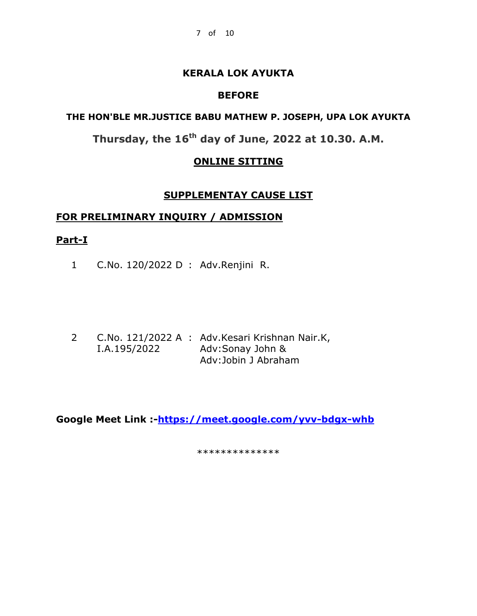### **BEFORE**

## **THE HON'BLE MR.JUSTICE BABU MATHEW P. JOSEPH, UPA LOK AYUKTA**

**Thursday, the 16th day of June, 2022 at 10.30. A.M.**

## **ONLINE SITTING**

### **SUPPLEMENTAY CAUSE LIST**

### **FOR PRELIMINARY INQUIRY / ADMISSION**

### **Part-I**

1 C.No. 120/2022 D : Adv.Renjini R.

2 C.No. 121/2022 A : Adv.Kesari Krishnan Nair.K, I.A.195/2022 Adv:Sonay John & Adv:Jobin J Abraham

**Google Meet Link :[-https://meet.google.com/yvv-bdgx-whb](https://meet.google.com/yvv-bdgx-whb)**

\*\*\*\*\*\*\*\*\*\*\*\*\*\*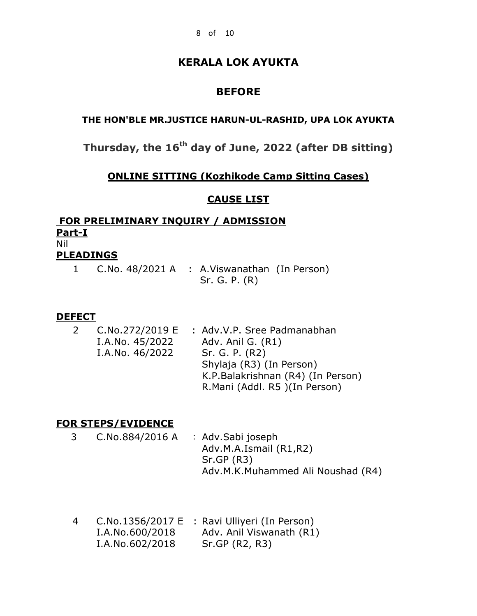# **BEFORE**

### **THE HON'BLE MR.JUSTICE HARUN-UL-RASHID, UPA LOK AYUKTA**

**Thursday, the 16 th day of June, 2022 (after DB sitting)**

## **ONLINE SITTING (Kozhikode Camp Sitting Cases)**

### **CAUSE LIST**

### **FOR PRELIMINARY INQUIRY / ADMISSION Part-I** Nil **PLEADINGS**

| 1 C.No. 48/2021 A : A.Viswanathan (In Person) |               |  |
|-----------------------------------------------|---------------|--|
|                                               | Sr. G. P. (R) |  |

### **DEFECT**

| <sup>2</sup> | C.No.272/2019 E | : Adv.V.P. Sree Padmanabhan       |
|--------------|-----------------|-----------------------------------|
|              | I.A.No. 45/2022 | Adv. Anil G. (R1)                 |
|              | I.A.No. 46/2022 | Sr. G. P. (R2)                    |
|              |                 | Shylaja (R3) (In Person)          |
|              |                 | K.P.Balakrishnan (R4) (In Person) |
|              |                 | R.Mani (Addl. R5) (In Person)     |

## **FOR STEPS/EVIDENCE**

- 3 C.No.884/2016 A : Adv.Sabi joseph Adv.M.A.Ismail (R1,R2) Sr.GP (R3) Adv.M.K.Muhammed Ali Noushad (R4)
- 4 C.No.1356/2017 E : Ravi Ulliyeri (In Person) I.A.No.600/2018 Adv. Anil Viswanath (R1) I.A.No.602/2018 Sr.GP (R2, R3)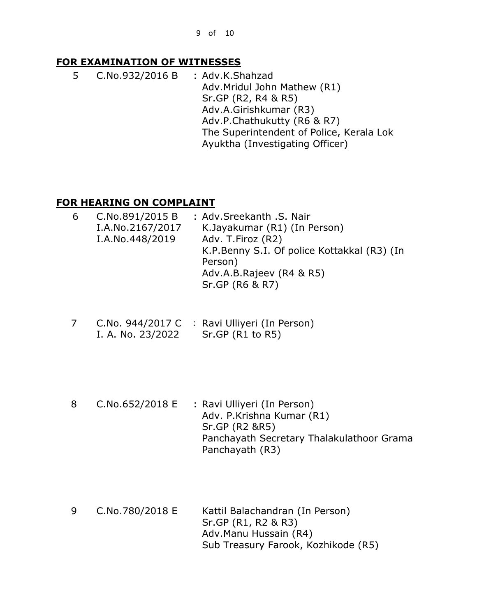## **FOR EXAMINATION OF WITNESSES**

5 C.No.932/2016 B : Adv.K.Shahzad Adv.Mridul John Mathew (R1) Sr.GP (R2, R4 & R5) Adv.A.Girishkumar (R3) Adv.P.Chathukutty (R6 & R7) The Superintendent of Police, Kerala Lok Ayuktha (Investigating Officer)

## **FOR HEARING ON COMPLAINT**

| C.No.891/2015 B | : Adv.Sreekanth .S. Nair                    |
|-----------------|---------------------------------------------|
|                 | K.Jayakumar (R1) (In Person)                |
| I.A.No.448/2019 | Adv. T. Firoz (R2)                          |
|                 | K.P.Benny S.I. Of police Kottakkal (R3) (In |
|                 | Person)                                     |
|                 | Adv.A.B.Rajeev (R4 & R5)                    |
|                 | Sr.GP (R6 & R7)                             |
|                 | I.A.No.2167/2017                            |

- 7 C.No. 944/2017 C : Ravi Ulliyeri (In Person) I. A. No. 23/2022 Sr.GP (R1 to R5)
- 8 C.No.652/2018 E : Ravi Ulliyeri (In Person) Adv. P.Krishna Kumar (R1) Sr.GP (R2 &R5) Panchayath Secretary Thalakulathoor Grama Panchayath (R3)
- 9 C.No.780/2018 E Kattil Balachandran (In Person) Sr.GP (R1, R2 & R3) Adv.Manu Hussain (R4) Sub Treasury Farook, Kozhikode (R5)